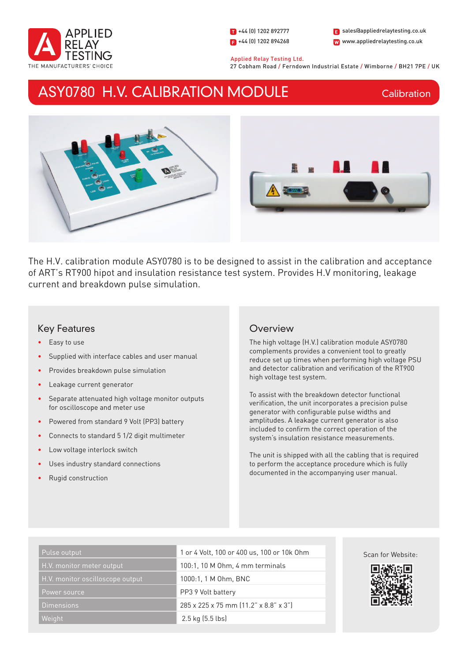

1 +44 (0) 1202 892777  $\Box$  +44 (0) 1202 894268

W www.appliedrelaytesting.co.uk sales@appliedrelaytesting.co.uk

 Applied Relay Testing Ltd. 27 Cobham Road / Ferndown Industrial Estate / Wimborne / BH21 7PE / UK

# ASY0780 H.V. CALIBRATION MODULE

**Calibration** 



The H.V. calibration module ASY0780 is to be designed to assist in the calibration and acceptance of ART's RT900 hipot and insulation resistance test system. Provides H.V monitoring, leakage current and breakdown pulse simulation.

# Key Features

- Easy to use
- Supplied with interface cables and user manual
- Provides breakdown pulse simulation
- Leakage current generator
- Separate attenuated high voltage monitor outputs for oscilloscope and meter use
- Powered from standard 9 Volt (PP3) battery
- Connects to standard 5 1/2 digit multimeter
- Low voltage interlock switch
- Uses industry standard connections
- Rugid construction

# **Overview**

The high voltage (H.V.) calibration module ASY0780 complements provides a convenient tool to greatly reduce set up times when performing high voltage PSU and detector calibration and verification of the RT900 high voltage test system.

To assist with the breakdown detector functional verification, the unit incorporates a precision pulse generator with configurable pulse widths and amplitudes. A leakage current generator is also included to confirm the correct operation of the system's insulation resistance measurements.

The unit is shipped with all the cabling that is required to perform the acceptance procedure which is fully documented in the accompanying user manual.

| Pulse output                     | 1 or 4 Volt, 100 or 400 us, 100 or 10k Ohm |
|----------------------------------|--------------------------------------------|
| H.V. monitor meter output        | 100:1, 10 M Ohm, 4 mm terminals            |
| H.V. monitor oscilloscope output | 1000:1, 1 M 0hm, BNC                       |
| Power source                     | PP3 9 Volt battery                         |
| <b>Dimensions</b>                | 285 x 225 x 75 mm (11.2" x 8.8" x 3")      |
| Weight                           | $2.5$ kg $(5.5$ lbs)                       |